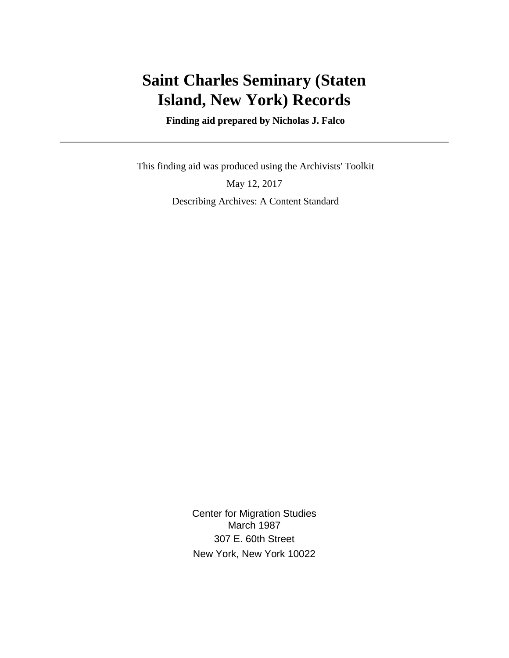# **Saint Charles Seminary (Staten Island, New York) Records**

 **Finding aid prepared by Nicholas J. Falco**

 This finding aid was produced using the Archivists' Toolkit May 12, 2017 Describing Archives: A Content Standard

> Center for Migration Studies March 1987 307 E. 60th Street New York, New York 10022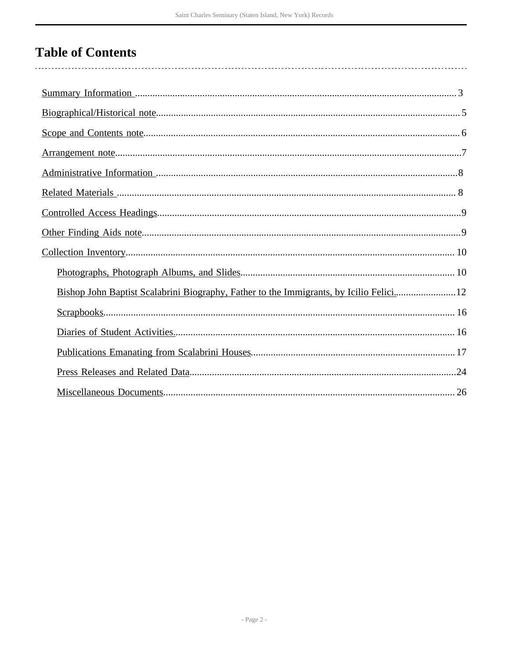# **Table of Contents**

| Bishop John Baptist Scalabrini Biography, Father to the Immigrants, by Icilio Felici12 |
|----------------------------------------------------------------------------------------|
|                                                                                        |
|                                                                                        |
|                                                                                        |
|                                                                                        |
|                                                                                        |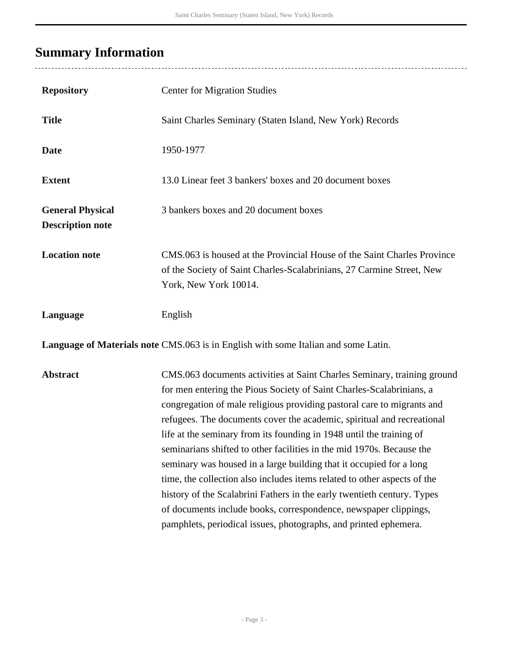# <span id="page-2-0"></span>**Summary Information**

| <b>Repository</b>                                                                  | <b>Center for Migration Studies</b>                                                                                                                                                                                                                                                                                                                                                                                                                                                                                                                                                                                                                                                                                                                                                                                        |  |  |
|------------------------------------------------------------------------------------|----------------------------------------------------------------------------------------------------------------------------------------------------------------------------------------------------------------------------------------------------------------------------------------------------------------------------------------------------------------------------------------------------------------------------------------------------------------------------------------------------------------------------------------------------------------------------------------------------------------------------------------------------------------------------------------------------------------------------------------------------------------------------------------------------------------------------|--|--|
| <b>Title</b>                                                                       | Saint Charles Seminary (Staten Island, New York) Records                                                                                                                                                                                                                                                                                                                                                                                                                                                                                                                                                                                                                                                                                                                                                                   |  |  |
| <b>Date</b>                                                                        | 1950-1977                                                                                                                                                                                                                                                                                                                                                                                                                                                                                                                                                                                                                                                                                                                                                                                                                  |  |  |
| <b>Extent</b>                                                                      | 13.0 Linear feet 3 bankers' boxes and 20 document boxes                                                                                                                                                                                                                                                                                                                                                                                                                                                                                                                                                                                                                                                                                                                                                                    |  |  |
| <b>General Physical</b><br><b>Description note</b>                                 | 3 bankers boxes and 20 document boxes                                                                                                                                                                                                                                                                                                                                                                                                                                                                                                                                                                                                                                                                                                                                                                                      |  |  |
| <b>Location note</b>                                                               | CMS.063 is housed at the Provincial House of the Saint Charles Province<br>of the Society of Saint Charles-Scalabrinians, 27 Carmine Street, New<br>York, New York 10014.                                                                                                                                                                                                                                                                                                                                                                                                                                                                                                                                                                                                                                                  |  |  |
| Language                                                                           | English                                                                                                                                                                                                                                                                                                                                                                                                                                                                                                                                                                                                                                                                                                                                                                                                                    |  |  |
| Language of Materials note CMS.063 is in English with some Italian and some Latin. |                                                                                                                                                                                                                                                                                                                                                                                                                                                                                                                                                                                                                                                                                                                                                                                                                            |  |  |
| <b>Abstract</b>                                                                    | CMS.063 documents activities at Saint Charles Seminary, training ground<br>for men entering the Pious Society of Saint Charles-Scalabrinians, a<br>congregation of male religious providing pastoral care to migrants and<br>refugees. The documents cover the academic, spiritual and recreational<br>life at the seminary from its founding in 1948 until the training of<br>seminarians shifted to other facilities in the mid 1970s. Because the<br>seminary was housed in a large building that it occupied for a long<br>time, the collection also includes items related to other aspects of the<br>history of the Scalabrini Fathers in the early twentieth century. Types<br>of documents include books, correspondence, newspaper clippings,<br>pamphlets, periodical issues, photographs, and printed ephemera. |  |  |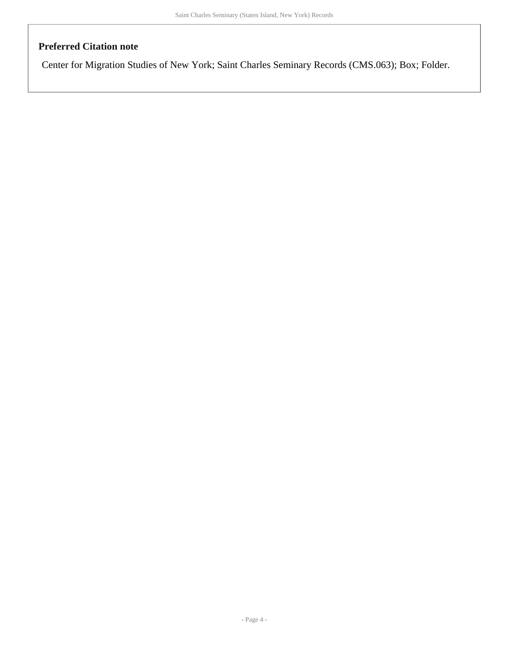### **Preferred Citation note**

Center for Migration Studies of New York; Saint Charles Seminary Records (CMS.063); Box; Folder.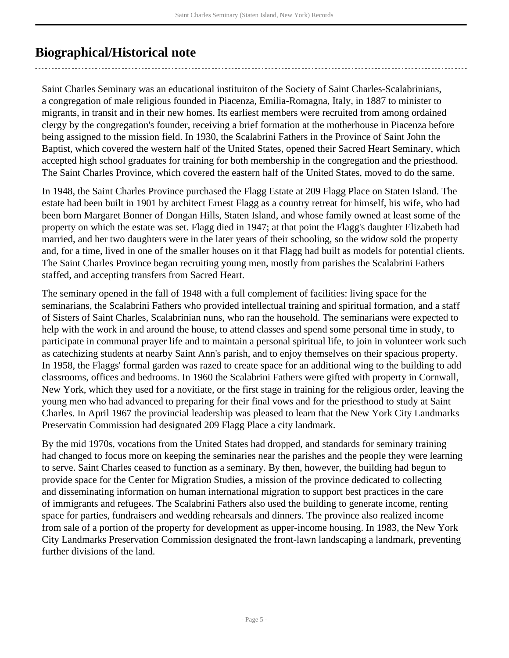## <span id="page-4-0"></span>**Biographical/Historical note**

Saint Charles Seminary was an educational instituiton of the Society of Saint Charles-Scalabrinians, a congregation of male religious founded in Piacenza, Emilia-Romagna, Italy, in 1887 to minister to migrants, in transit and in their new homes. Its earliest members were recruited from among ordained clergy by the congregation's founder, receiving a brief formation at the motherhouse in Piacenza before being assigned to the mission field. In 1930, the Scalabrini Fathers in the Province of Saint John the Baptist, which covered the western half of the United States, opened their Sacred Heart Seminary, which accepted high school graduates for training for both membership in the congregation and the priesthood. The Saint Charles Province, which covered the eastern half of the United States, moved to do the same.

In 1948, the Saint Charles Province purchased the Flagg Estate at 209 Flagg Place on Staten Island. The estate had been built in 1901 by architect Ernest Flagg as a country retreat for himself, his wife, who had been born Margaret Bonner of Dongan Hills, Staten Island, and whose family owned at least some of the property on which the estate was set. Flagg died in 1947; at that point the Flagg's daughter Elizabeth had married, and her two daughters were in the later years of their schooling, so the widow sold the property and, for a time, lived in one of the smaller houses on it that Flagg had built as models for potential clients. The Saint Charles Province began recruiting young men, mostly from parishes the Scalabrini Fathers staffed, and accepting transfers from Sacred Heart.

The seminary opened in the fall of 1948 with a full complement of facilities: living space for the seminarians, the Scalabrini Fathers who provided intellectual training and spiritual formation, and a staff of Sisters of Saint Charles, Scalabrinian nuns, who ran the household. The seminarians were expected to help with the work in and around the house, to attend classes and spend some personal time in study, to participate in communal prayer life and to maintain a personal spiritual life, to join in volunteer work such as catechizing students at nearby Saint Ann's parish, and to enjoy themselves on their spacious property. In 1958, the Flaggs' formal garden was razed to create space for an additional wing to the building to add classrooms, offices and bedrooms. In 1960 the Scalabrini Fathers were gifted with property in Cornwall, New York, which they used for a novitiate, or the first stage in training for the religious order, leaving the young men who had advanced to preparing for their final vows and for the priesthood to study at Saint Charles. In April 1967 the provincial leadership was pleased to learn that the New York City Landmarks Preservatin Commission had designated 209 Flagg Place a city landmark.

By the mid 1970s, vocations from the United States had dropped, and standards for seminary training had changed to focus more on keeping the seminaries near the parishes and the people they were learning to serve. Saint Charles ceased to function as a seminary. By then, however, the building had begun to provide space for the Center for Migration Studies, a mission of the province dedicated to collecting and disseminating information on human international migration to support best practices in the care of immigrants and refugees. The Scalabrini Fathers also used the building to generate income, renting space for parties, fundraisers and wedding rehearsals and dinners. The province also realized income from sale of a portion of the property for development as upper-income housing. In 1983, the New York City Landmarks Preservation Commission designated the front-lawn landscaping a landmark, preventing further divisions of the land.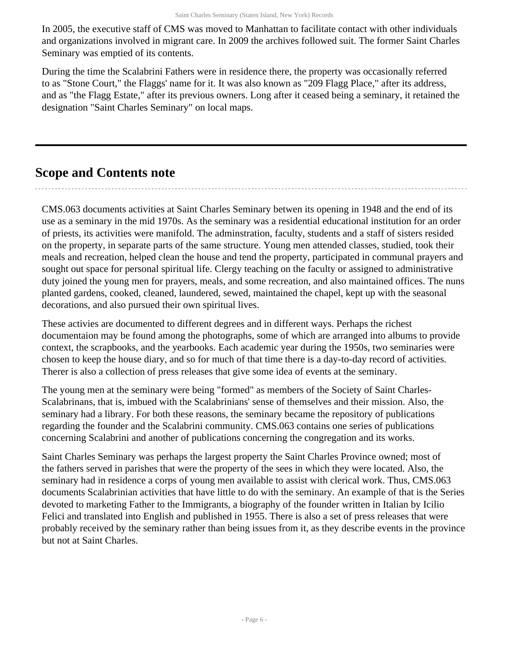In 2005, the executive staff of CMS was moved to Manhattan to facilitate contact with other individuals and organizations involved in migrant care. In 2009 the archives followed suit. The former Saint Charles Seminary was emptied of its contents.

During the time the Scalabrini Fathers were in residence there, the property was occasionally referred to as "Stone Court," the Flaggs' name for it. It was also known as "209 Flagg Place," after its address, and as "the Flagg Estate," after its previous owners. Long after it ceased being a seminary, it retained the designation "Saint Charles Seminary" on local maps.

## <span id="page-5-0"></span>**Scope and Contents note**

CMS.063 documents activities at Saint Charles Seminary betwen its opening in 1948 and the end of its use as a seminary in the mid 1970s. As the seminary was a residential educational institution for an order of priests, its activities were manifold. The adminstration, faculty, students and a staff of sisters resided on the property, in separate parts of the same structure. Young men attended classes, studied, took their meals and recreation, helped clean the house and tend the property, participated in communal prayers and sought out space for personal spiritual life. Clergy teaching on the faculty or assigned to administrative duty joined the young men for prayers, meals, and some recreation, and also maintained offices. The nuns planted gardens, cooked, cleaned, laundered, sewed, maintained the chapel, kept up with the seasonal decorations, and also pursued their own spiritual lives.

These activies are documented to different degrees and in different ways. Perhaps the richest documentaion may be found among the photographs, some of which are arranged into albums to provide context, the scrapbooks, and the yearbooks. Each academic year during the 1950s, two seminaries were chosen to keep the house diary, and so for much of that time there is a day-to-day record of activities. Therer is also a collection of press releases that give some idea of events at the seminary.

The young men at the seminary were being "formed" as members of the Society of Saint Charles-Scalabrinans, that is, imbued with the Scalabrinians' sense of themselves and their mission. Also, the seminary had a library. For both these reasons, the seminary became the repository of publications regarding the founder and the Scalabrini community. CMS.063 contains one series of publications concerning Scalabrini and another of publications concerning the congregation and its works.

Saint Charles Seminary was perhaps the largest property the Saint Charles Province owned; most of the fathers served in parishes that were the property of the sees in which they were located. Also, the seminary had in residence a corps of young men available to assist with clerical work. Thus, CMS.063 documents Scalabrinian activities that have little to do with the seminary. An example of that is the Series devoted to marketing Father to the Immigrants, a biography of the founder written in Italian by Icilio Felici and translated into English and published in 1955. There is also a set of press releases that were probably received by the seminary rather than being issues from it, as they describe events in the province but not at Saint Charles.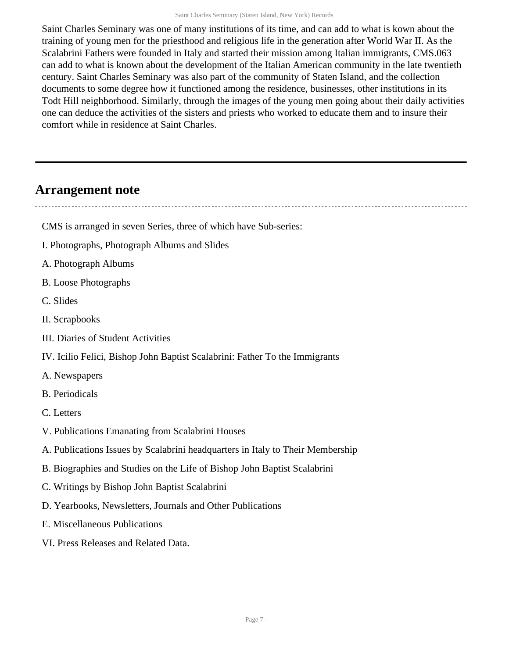Saint Charles Seminary was one of many institutions of its time, and can add to what is kown about the training of young men for the priesthood and religious life in the generation after World War II. As the Scalabrini Fathers were founded in Italy and started their mission among Italian immigrants, CMS.063 can add to what is known about the development of the Italian American community in the late twentieth century. Saint Charles Seminary was also part of the community of Staten Island, and the collection documents to some degree how it functioned among the residence, businesses, other institutions in its Todt Hill neighborhood. Similarly, through the images of the young men going about their daily activities one can deduce the activities of the sisters and priests who worked to educate them and to insure their comfort while in residence at Saint Charles.

### <span id="page-6-0"></span>**Arrangement note**

- CMS is arranged in seven Series, three of which have Sub-series:
- I. Photographs, Photograph Albums and Slides
- A. Photograph Albums
- B. Loose Photographs
- C. Slides
- II. Scrapbooks
- III. Diaries of Student Activities
- IV. Icilio Felici, Bishop John Baptist Scalabrini: Father To the Immigrants
- A. Newspapers
- B. Periodicals
- C. Letters
- V. Publications Emanating from Scalabrini Houses
- A. Publications Issues by Scalabrini headquarters in Italy to Their Membership
- B. Biographies and Studies on the Life of Bishop John Baptist Scalabrini
- C. Writings by Bishop John Baptist Scalabrini
- D. Yearbooks, Newsletters, Journals and Other Publications
- E. Miscellaneous Publications
- VI. Press Releases and Related Data.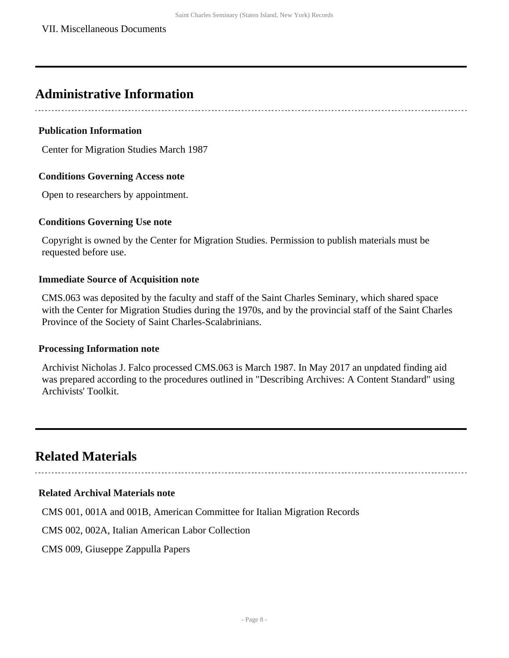## <span id="page-7-0"></span>**Administrative Information**

#### **Publication Information**

Center for Migration Studies March 1987

#### **Conditions Governing Access note**

Open to researchers by appointment.

#### **Conditions Governing Use note**

Copyright is owned by the Center for Migration Studies. Permission to publish materials must be requested before use.

#### **Immediate Source of Acquisition note**

CMS.063 was deposited by the faculty and staff of the Saint Charles Seminary, which shared space with the Center for Migration Studies during the 1970s, and by the provincial staff of the Saint Charles Province of the Society of Saint Charles-Scalabrinians.

#### **Processing Information note**

Archivist Nicholas J. Falco processed CMS.063 is March 1987. In May 2017 an unpdated finding aid was prepared according to the procedures outlined in "Describing Archives: A Content Standard" using Archivists' Toolkit.

## <span id="page-7-1"></span>**Related Materials**

#### **Related Archival Materials note**

CMS 001, 001A and 001B, American Committee for Italian Migration Records

CMS 002, 002A, Italian American Labor Collection

CMS 009, Giuseppe Zappulla Papers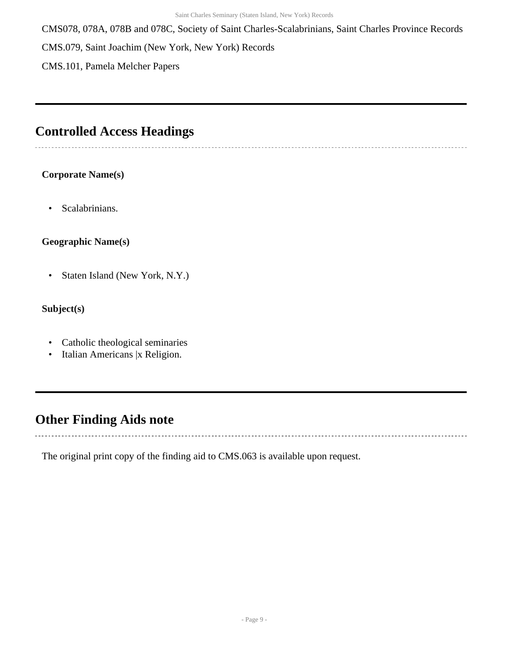CMS078, 078A, 078B and 078C, Society of Saint Charles-Scalabrinians, Saint Charles Province Records CMS.079, Saint Joachim (New York, New York) Records

CMS.101, Pamela Melcher Papers

### <span id="page-8-0"></span>**Controlled Access Headings**

#### **Corporate Name(s)**

• Scalabrinians.

#### **Geographic Name(s)**

• Staten Island (New York, N.Y.)

#### **Subject(s)**

 $\overline{\phantom{a}}$ 

- Catholic theological seminaries
- Italian Americans |x Religion.

## <span id="page-8-1"></span>**Other Finding Aids note**

The original print copy of the finding aid to CMS.063 is available upon request.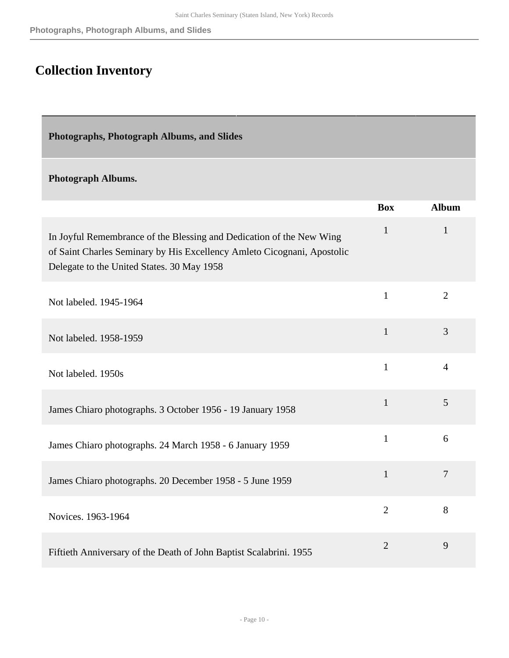# <span id="page-9-0"></span>**Collection Inventory**

<span id="page-9-1"></span>**Photographs, Photograph Albums, and Slides** 

#### **Photograph Albums.**

|                                                                                                                                                                                               | <b>Box</b>     | <b>Album</b>   |
|-----------------------------------------------------------------------------------------------------------------------------------------------------------------------------------------------|----------------|----------------|
| In Joyful Remembrance of the Blessing and Dedication of the New Wing<br>of Saint Charles Seminary by His Excellency Amleto Cicognani, Apostolic<br>Delegate to the United States. 30 May 1958 | $\mathbf{1}$   | $\mathbf{1}$   |
| Not labeled. 1945-1964                                                                                                                                                                        | $\mathbf{1}$   | $\overline{2}$ |
| Not labeled. 1958-1959                                                                                                                                                                        | $\mathbf{1}$   | 3              |
| Not labeled. 1950s                                                                                                                                                                            | $\mathbf{1}$   | $\overline{4}$ |
| James Chiaro photographs. 3 October 1956 - 19 January 1958                                                                                                                                    | $\mathbf{1}$   | 5              |
| James Chiaro photographs. 24 March 1958 - 6 January 1959                                                                                                                                      | $\mathbf{1}$   | 6              |
| James Chiaro photographs. 20 December 1958 - 5 June 1959                                                                                                                                      | $\mathbf{1}$   | $\overline{7}$ |
| Novices. 1963-1964                                                                                                                                                                            | $\overline{2}$ | 8              |
| Fiftieth Anniversary of the Death of John Baptist Scalabrini. 1955                                                                                                                            | $\overline{2}$ | 9              |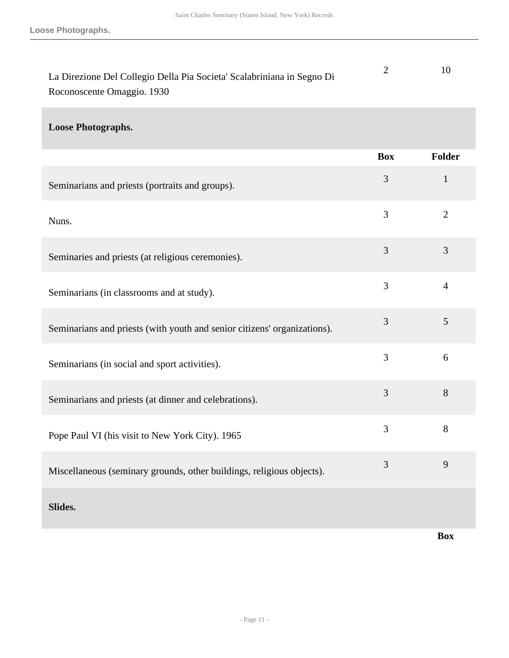| La Direzione Del Collegio Della Pia Societa' Scalabriniana in Segno Di |  |
|------------------------------------------------------------------------|--|
| Roconoscente Omaggio. 1930                                             |  |

#### **Loose Photographs.**

|                                                                          | <b>Box</b>     | <b>Folder</b>  |
|--------------------------------------------------------------------------|----------------|----------------|
| Seminarians and priests (portraits and groups).                          | $\overline{3}$ | $\mathbf{1}$   |
| Nuns.                                                                    | $\overline{3}$ | $\overline{2}$ |
| Seminaries and priests (at religious ceremonies).                        | $\overline{3}$ | 3              |
| Seminarians (in classrooms and at study).                                | 3              | $\overline{4}$ |
| Seminarians and priests (with youth and senior citizens' organizations). | 3              | 5              |
| Seminarians (in social and sport activities).                            | 3              | 6              |
| Seminarians and priests (at dinner and celebrations).                    | 3              | 8              |
| Pope Paul VI (his visit to New York City). 1965                          | 3              | 8              |
| Miscellaneous (seminary grounds, other buildings, religious objects).    | 3              | 9              |
| Slides.                                                                  |                |                |

**Box**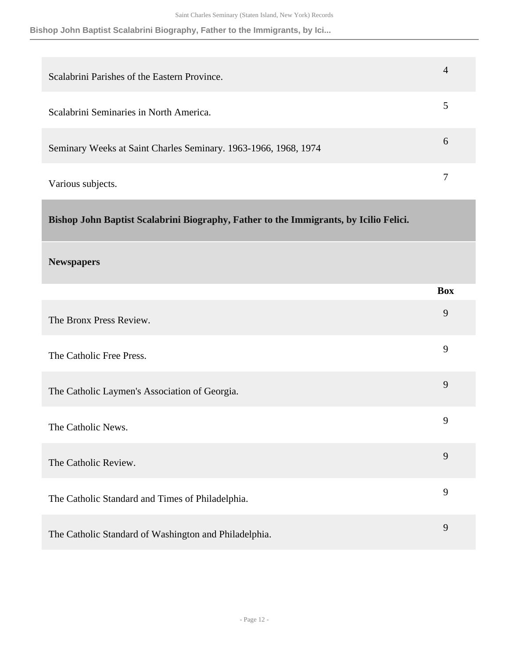**Bishop John Baptist Scalabrini Biography, Father to the Immigrants, by Ici...**

| Scalabrini Parishes of the Eastern Province.                    | 4             |
|-----------------------------------------------------------------|---------------|
| Scalabrini Seminaries in North America.                         |               |
| Seminary Weeks at Saint Charles Seminary. 1963-1966, 1968, 1974 | $\mathfrak b$ |
| Various subjects.                                               |               |

<span id="page-11-0"></span>**Bishop John Baptist Scalabrini Biography, Father to the Immigrants, by Icilio Felici.** 

#### **Newspapers**

|                                                       | <b>Box</b> |
|-------------------------------------------------------|------------|
| The Bronx Press Review.                               | 9          |
| The Catholic Free Press.                              | 9          |
| The Catholic Laymen's Association of Georgia.         | 9          |
| The Catholic News.                                    | 9          |
| The Catholic Review.                                  | 9          |
| The Catholic Standard and Times of Philadelphia.      | 9          |
| The Catholic Standard of Washington and Philadelphia. | 9          |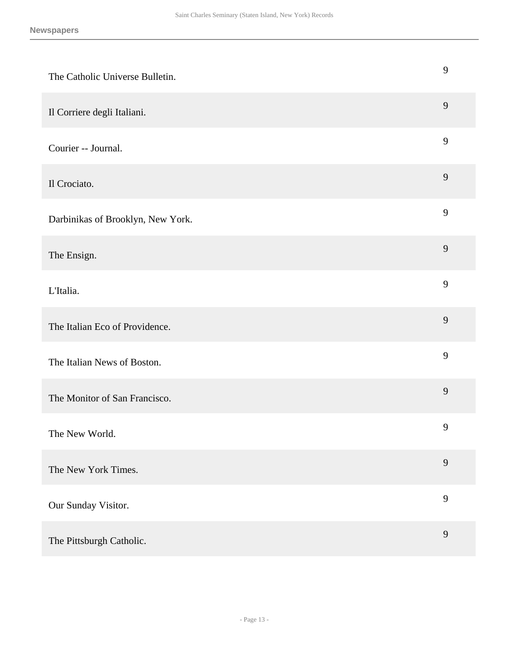| The Catholic Universe Bulletin.   | 9              |
|-----------------------------------|----------------|
| Il Corriere degli Italiani.       | 9              |
| Courier -- Journal.               | 9              |
| Il Crociato.                      | 9              |
| Darbinikas of Brooklyn, New York. | 9              |
| The Ensign.                       | $\mathbf{9}$   |
| L'Italia.                         | 9              |
| The Italian Eco of Providence.    | $\mathbf{9}$   |
| The Italian News of Boston.       | 9              |
| The Monitor of San Francisco.     | 9              |
| The New World.                    | 9              |
| The New York Times.               | $\overline{9}$ |
| Our Sunday Visitor.               | 9              |
| The Pittsburgh Catholic.          | $\mathbf{9}$   |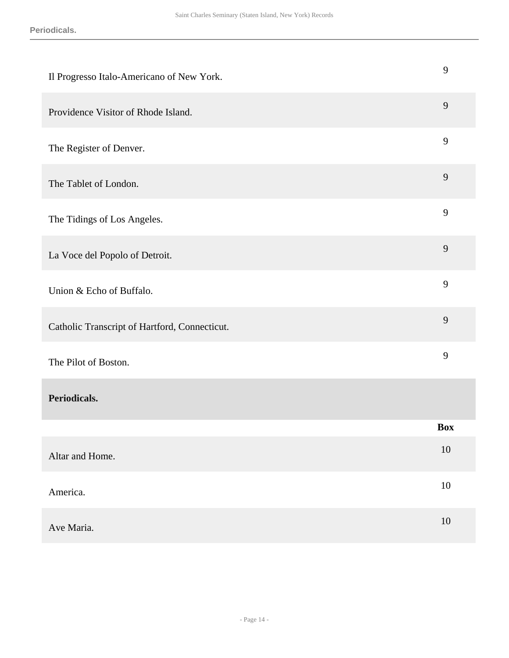| Il Progresso Italo-Americano of New York.     | 9          |
|-----------------------------------------------|------------|
| Providence Visitor of Rhode Island.           | 9          |
| The Register of Denver.                       | 9          |
| The Tablet of London.                         | 9          |
| The Tidings of Los Angeles.                   | 9          |
| La Voce del Popolo of Detroit.                | 9          |
| Union & Echo of Buffalo.                      | 9          |
| Catholic Transcript of Hartford, Connecticut. | 9          |
| The Pilot of Boston.                          | 9          |
| Periodicals.                                  |            |
|                                               | <b>Box</b> |
| Altar and Home.                               | $10\,$     |
| America.                                      | $10\,$     |
| Ave Maria.                                    | $10\,$     |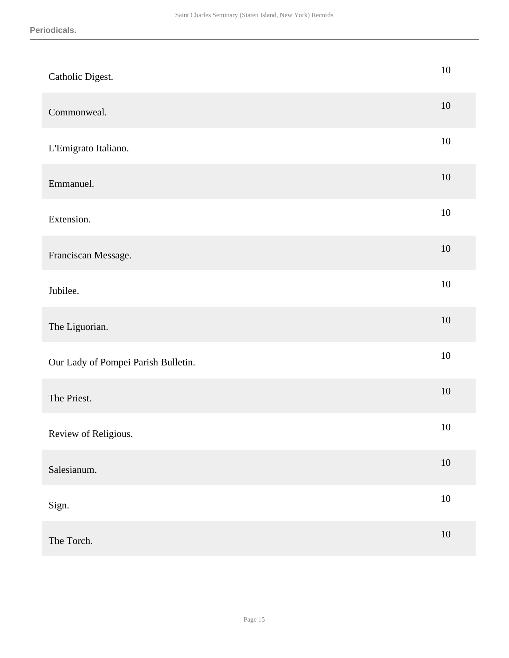| Catholic Digest.                    | $10\,$ |
|-------------------------------------|--------|
| Commonweal.                         | 10     |
| L'Emigrato Italiano.                | $10\,$ |
| Emmanuel.                           | $10\,$ |
| Extension.                          | $10\,$ |
| Franciscan Message.                 | $10\,$ |
| Jubilee.                            | $10\,$ |
| The Liguorian.                      | $10\,$ |
| Our Lady of Pompei Parish Bulletin. | 10     |
| The Priest.                         | $10\,$ |
| Review of Religious.                | $10\,$ |
| Salesianum.                         | $10\,$ |
| Sign.                               | $10\,$ |
| The Torch.                          | $10\,$ |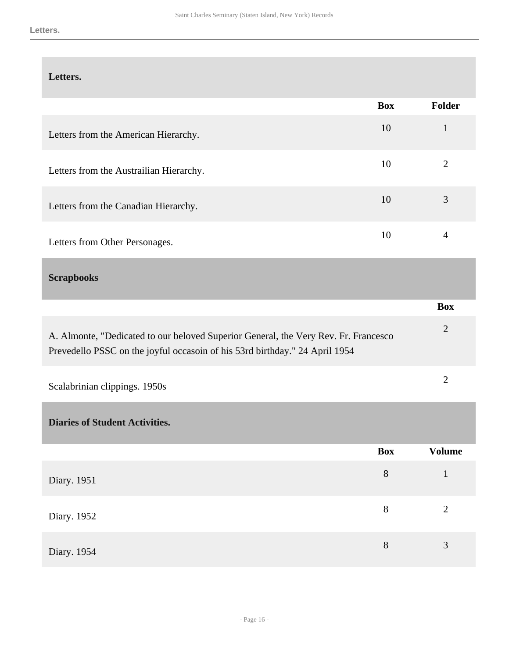#### **Letters.**

|                                         | <b>Box</b> | <b>Folder</b> |
|-----------------------------------------|------------|---------------|
| Letters from the American Hierarchy.    | 10         |               |
| Letters from the Austrailian Hierarchy. | 10         | 2             |
| Letters from the Canadian Hierarchy.    | 10         | 3             |
| Letters from Other Personages.          | 10         |               |

#### <span id="page-15-0"></span>**Scrapbooks**

|                                                                                                                                                                    | <b>Box</b> |
|--------------------------------------------------------------------------------------------------------------------------------------------------------------------|------------|
| A. Almonte, "Dedicated to our beloved Superior General, the Very Rev. Fr. Francesco<br>Prevedello PSSC on the joyful occasoin of his 53rd birthday." 24 April 1954 |            |
| Scalabrinian clippings. 1950s                                                                                                                                      |            |

<span id="page-15-1"></span>**Diaries of Student Activities.** 

|             | Box | <b>Volume</b>  |
|-------------|-----|----------------|
| Diary. 1951 | 8   |                |
| Diary. 1952 | 8   | $\overline{2}$ |
| Diary. 1954 | 8   | 3              |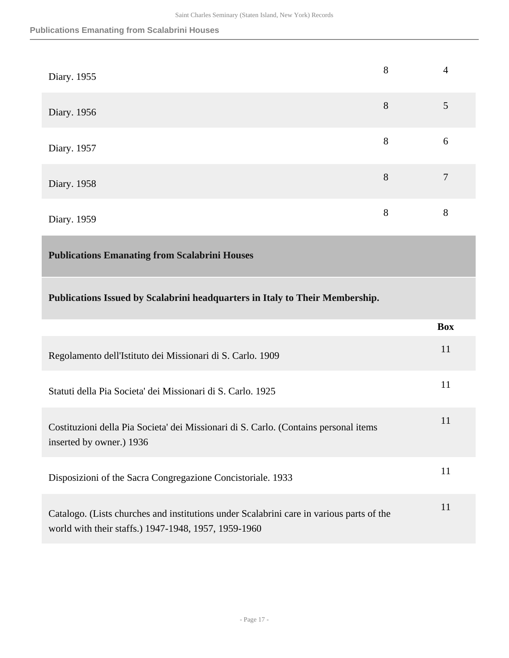| Diary. 1955 | 8 | 4 |
|-------------|---|---|
| Diary. 1956 | 8 | 5 |
| Diary. 1957 | 8 | 6 |
| Diary. 1958 | 8 | 7 |
| Diary. 1959 | 8 | 8 |

#### <span id="page-16-0"></span>**Publications Emanating from Scalabrini Houses**

**Publications Issued by Scalabrini headquarters in Italy to Their Membership.** 

|                                                                                                                                                  | <b>Box</b> |
|--------------------------------------------------------------------------------------------------------------------------------------------------|------------|
| Regolamento dell'Istituto dei Missionari di S. Carlo. 1909                                                                                       | 11         |
| Statuti della Pia Societa' dei Missionari di S. Carlo. 1925                                                                                      | 11         |
| Costituzioni della Pia Societa' dei Missionari di S. Carlo. (Contains personal items<br>inserted by owner.) 1936                                 | 11         |
| Disposizioni of the Sacra Congregazione Concistoriale. 1933                                                                                      | 11         |
| Catalogo. (Lists churches and institutions under Scalabrini care in various parts of the<br>world with their staffs.) 1947-1948, 1957, 1959-1960 | 11         |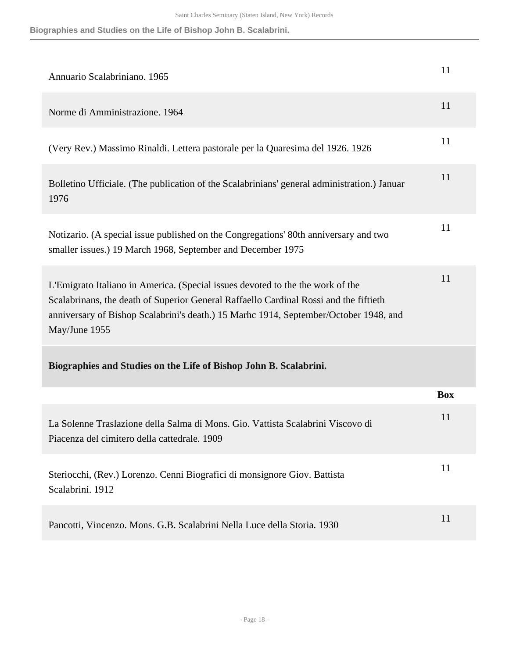**Biographies and Studies on the Life of Bishop John B. Scalabrini.**

| Annuario Scalabriniano. 1965                                                                                                                                                                                                                                                      | 11         |
|-----------------------------------------------------------------------------------------------------------------------------------------------------------------------------------------------------------------------------------------------------------------------------------|------------|
| Norme di Amministrazione. 1964                                                                                                                                                                                                                                                    | 11         |
| (Very Rev.) Massimo Rinaldi. Lettera pastorale per la Quaresima del 1926. 1926                                                                                                                                                                                                    | 11         |
| Bolletino Ufficiale. (The publication of the Scalabrinians' general administration.) Januar<br>1976                                                                                                                                                                               | 11         |
| Notizario. (A special issue published on the Congregations' 80th anniversary and two<br>smaller issues.) 19 March 1968, September and December 1975                                                                                                                               | 11         |
| L'Emigrato Italiano in America. (Special issues devoted to the the work of the<br>Scalabrinans, the death of Superior General Raffaello Cardinal Rossi and the fiftieth<br>anniversary of Bishop Scalabrini's death.) 15 Marhc 1914, September/October 1948, and<br>May/June 1955 | 11         |
| Biographies and Studies on the Life of Bishop John B. Scalabrini.                                                                                                                                                                                                                 |            |
|                                                                                                                                                                                                                                                                                   | <b>Box</b> |
| La Solenne Traslazione della Salma di Mons. Gio. Vattista Scalabrini Viscovo di<br>Piacenza del cimitero della cattedrale. 1909                                                                                                                                                   | 11         |
| Steriocchi, (Rev.) Lorenzo. Cenni Biografici di monsignore Giov. Battista<br>Scalabrini. 1912                                                                                                                                                                                     | 11         |
| Pancotti, Vincenzo. Mons. G.B. Scalabrini Nella Luce della Storia. 1930                                                                                                                                                                                                           | 11         |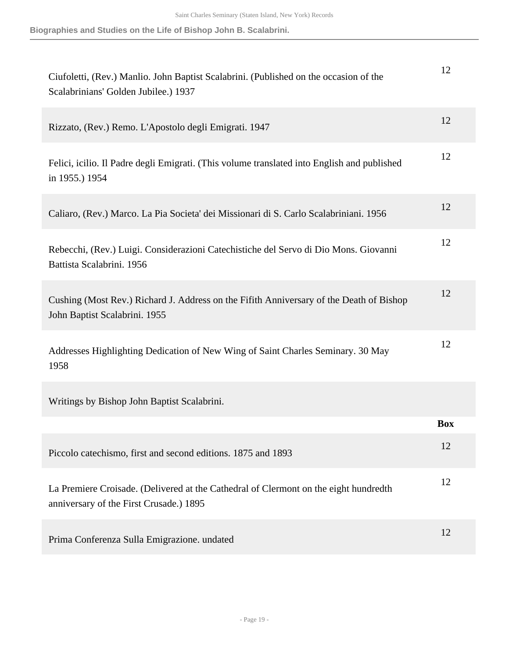**Biographies and Studies on the Life of Bishop John B. Scalabrini.**

| Ciufoletti, (Rev.) Manlio. John Baptist Scalabrini. (Published on the occasion of the<br>Scalabrinians' Golden Jubilee.) 1937   | 12         |
|---------------------------------------------------------------------------------------------------------------------------------|------------|
| Rizzato, (Rev.) Remo. L'Apostolo degli Emigrati. 1947                                                                           | 12         |
| Felici, icilio. Il Padre degli Emigrati. (This volume translated into English and published<br>in 1955.) 1954                   | 12         |
| Caliaro, (Rev.) Marco. La Pia Societa' dei Missionari di S. Carlo Scalabriniani. 1956                                           | 12         |
| Rebecchi, (Rev.) Luigi. Considerazioni Catechistiche del Servo di Dio Mons. Giovanni<br>Battista Scalabrini. 1956               | 12         |
| Cushing (Most Rev.) Richard J. Address on the Fifith Anniversary of the Death of Bishop<br>John Baptist Scalabrini. 1955        | 12         |
| Addresses Highlighting Dedication of New Wing of Saint Charles Seminary. 30 May<br>1958                                         | 12         |
| Writings by Bishop John Baptist Scalabrini.                                                                                     |            |
|                                                                                                                                 | <b>Box</b> |
| Piccolo catechismo, first and second editions. 1875 and 1893                                                                    | 12         |
| La Premiere Croisade. (Delivered at the Cathedral of Clermont on the eight hundredth<br>anniversary of the First Crusade.) 1895 | 12         |
| Prima Conferenza Sulla Emigrazione. undated                                                                                     | 12         |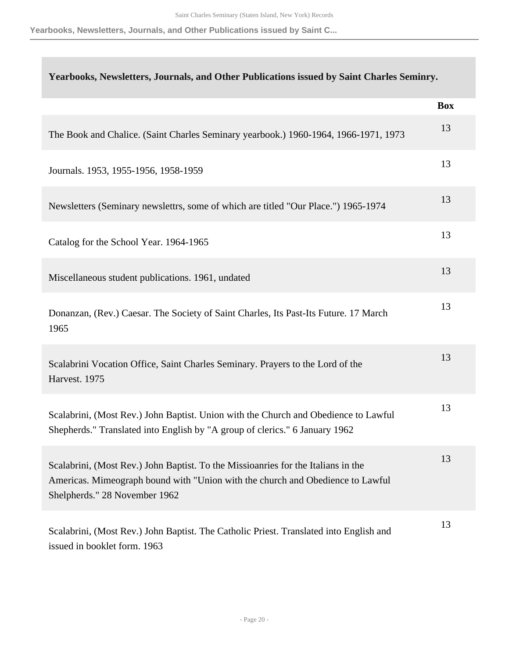**Yearbooks, Newsletters, Journals, and Other Publications issued by Saint C...**

| Yearbooks, Newsletters, Journals, and Other Publications issued by Saint Charles Seminry.                                                                                                            |            |
|------------------------------------------------------------------------------------------------------------------------------------------------------------------------------------------------------|------------|
|                                                                                                                                                                                                      | <b>Box</b> |
| The Book and Chalice. (Saint Charles Seminary yearbook.) 1960-1964, 1966-1971, 1973                                                                                                                  | 13         |
| Journals. 1953, 1955-1956, 1958-1959                                                                                                                                                                 | 13         |
| Newsletters (Seminary newslettrs, some of which are titled "Our Place.") 1965-1974                                                                                                                   | 13         |
| Catalog for the School Year. 1964-1965                                                                                                                                                               | 13         |
| Miscellaneous student publications. 1961, undated                                                                                                                                                    | 13         |
| Donanzan, (Rev.) Caesar. The Society of Saint Charles, Its Past-Its Future. 17 March<br>1965                                                                                                         | 13         |
| Scalabrini Vocation Office, Saint Charles Seminary. Prayers to the Lord of the<br>Harvest. 1975                                                                                                      | 13         |
| Scalabrini, (Most Rev.) John Baptist. Union with the Church and Obedience to Lawful<br>Shepherds." Translated into English by "A group of clerics." 6 January 1962                                   | 13         |
| Scalabrini, (Most Rev.) John Baptist. To the Missioanries for the Italians in the<br>Americas. Mimeograph bound with "Union with the church and Obedience to Lawful<br>Shelpherds." 28 November 1962 | 13         |
| Scalabrini, (Most Rev.) John Baptist. The Catholic Priest. Translated into English and<br>issued in booklet form. 1963                                                                               | 13         |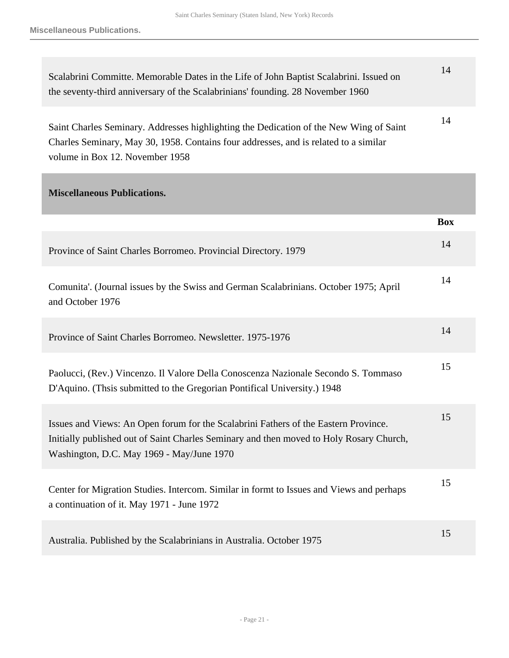Saint Charles Seminary (Staten Island, New York) Records

**Miscellaneous Publications.**

| Scalabrini Committe. Memorable Dates in the Life of John Baptist Scalabrini. Issued on<br>the seventy-third anniversary of the Scalabrinians' founding. 28 November 1960                                                    | 14         |
|-----------------------------------------------------------------------------------------------------------------------------------------------------------------------------------------------------------------------------|------------|
| Saint Charles Seminary. Addresses highlighting the Dedication of the New Wing of Saint<br>Charles Seminary, May 30, 1958. Contains four addresses, and is related to a similar<br>volume in Box 12. November 1958           | 14         |
| <b>Miscellaneous Publications.</b>                                                                                                                                                                                          |            |
|                                                                                                                                                                                                                             | <b>Box</b> |
| Province of Saint Charles Borromeo. Provincial Directory. 1979                                                                                                                                                              | 14         |
| Comunita'. (Journal issues by the Swiss and German Scalabrinians. October 1975; April<br>and October 1976                                                                                                                   | 14         |
| Province of Saint Charles Borromeo. Newsletter. 1975-1976                                                                                                                                                                   | 14         |
| Paolucci, (Rev.) Vincenzo. Il Valore Della Conoscenza Nazionale Secondo S. Tommaso<br>D'Aquino. (Thsis submitted to the Gregorian Pontifical University.) 1948                                                              | 15         |
| Issues and Views: An Open forum for the Scalabrini Fathers of the Eastern Province.<br>Initially published out of Saint Charles Seminary and then moved to Holy Rosary Church,<br>Washington, D.C. May 1969 - May/June 1970 | 15         |
| Center for Migration Studies. Intercom. Similar in formt to Issues and Views and perhaps<br>a continuation of it. May 1971 - June 1972                                                                                      | 15         |
| Australia. Published by the Scalabrinians in Australia. October 1975                                                                                                                                                        | 15         |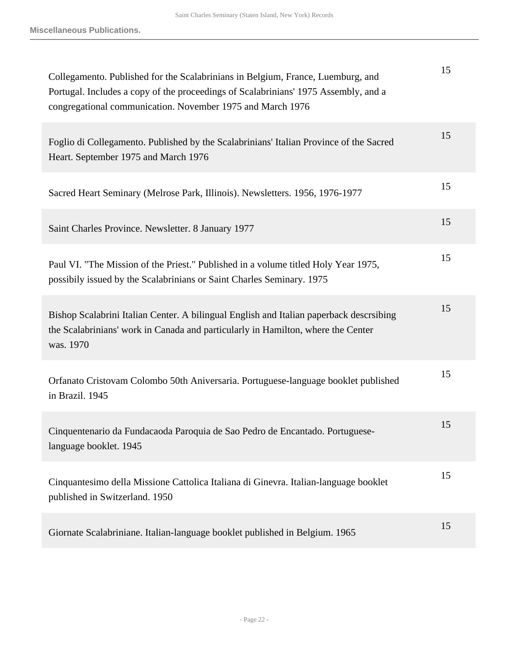| Collegamento. Published for the Scalabrinians in Belgium, France, Luemburg, and<br>Portugal. Includes a copy of the proceedings of Scalabrinians' 1975 Assembly, and a<br>congregational communication. November 1975 and March 1976 | 15 |
|--------------------------------------------------------------------------------------------------------------------------------------------------------------------------------------------------------------------------------------|----|
| Foglio di Collegamento. Published by the Scalabrinians' Italian Province of the Sacred<br>Heart. September 1975 and March 1976                                                                                                       | 15 |
| Sacred Heart Seminary (Melrose Park, Illinois). Newsletters. 1956, 1976-1977                                                                                                                                                         | 15 |
| Saint Charles Province. Newsletter. 8 January 1977                                                                                                                                                                                   | 15 |
| Paul VI. "The Mission of the Priest." Published in a volume titled Holy Year 1975,<br>possibily issued by the Scalabrinians or Saint Charles Seminary. 1975                                                                          | 15 |
| Bishop Scalabrini Italian Center. A bilingual English and Italian paperback descrsibing<br>the Scalabrinians' work in Canada and particularly in Hamilton, where the Center<br>was. 1970                                             | 15 |
| Orfanato Cristovam Colombo 50th Aniversaria. Portuguese-language booklet published<br>in Brazil. 1945                                                                                                                                | 15 |
| Cinquentenario da Fundacaoda Paroquia de Sao Pedro de Encantado. Portuguese-<br>language booklet. 1945                                                                                                                               | 15 |
| Cinquantesimo della Missione Cattolica Italiana di Ginevra. Italian-language booklet<br>published in Switzerland. 1950                                                                                                               | 15 |
| Giornate Scalabriniane. Italian-language booklet published in Belgium. 1965                                                                                                                                                          | 15 |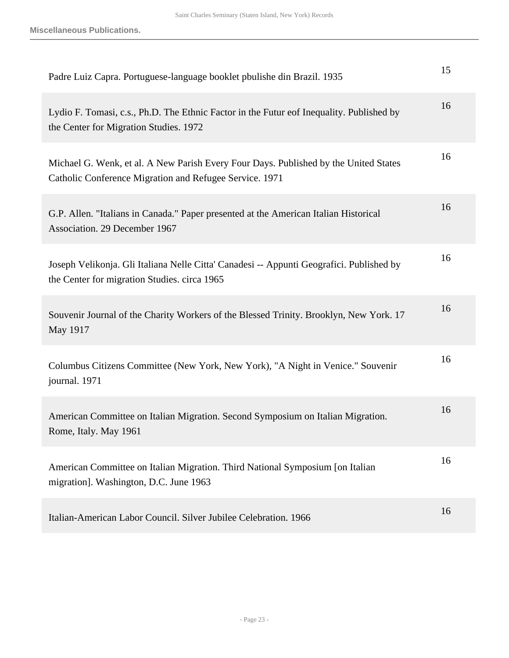| Padre Luiz Capra. Portuguese-language booklet pbulishe din Brazil. 1935                                                                         | 15 |
|-------------------------------------------------------------------------------------------------------------------------------------------------|----|
| Lydio F. Tomasi, c.s., Ph.D. The Ethnic Factor in the Futur eof Inequality. Published by<br>the Center for Migration Studies. 1972              | 16 |
| Michael G. Wenk, et al. A New Parish Every Four Days. Published by the United States<br>Catholic Conference Migration and Refugee Service. 1971 | 16 |
| G.P. Allen. "Italians in Canada." Paper presented at the American Italian Historical<br>Association. 29 December 1967                           | 16 |
| Joseph Velikonja. Gli Italiana Nelle Citta' Canadesi -- Appunti Geografici. Published by<br>the Center for migration Studies. circa 1965        | 16 |
| Souvenir Journal of the Charity Workers of the Blessed Trinity. Brooklyn, New York. 17<br>May 1917                                              | 16 |
| Columbus Citizens Committee (New York, New York), "A Night in Venice." Souvenir<br>journal. 1971                                                | 16 |
| American Committee on Italian Migration. Second Symposium on Italian Migration.<br>Rome, Italy. May 1961                                        | 16 |
| American Committee on Italian Migration. Third National Symposium [on Italian<br>migration]. Washington, D.C. June 1963                         | 16 |
| Italian-American Labor Council. Silver Jubilee Celebration. 1966                                                                                | 16 |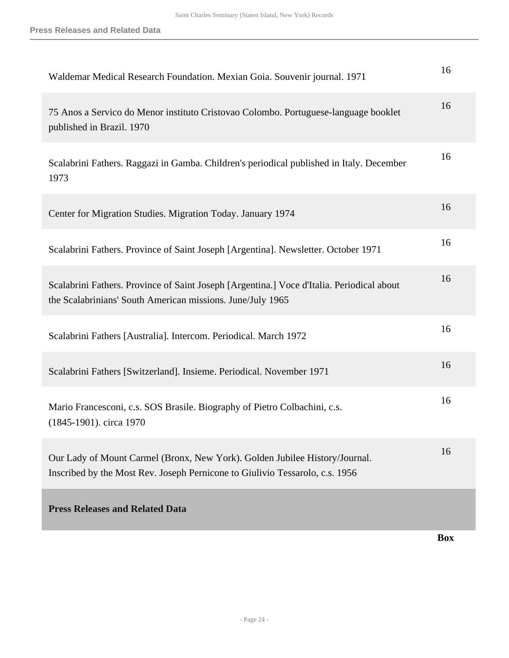<span id="page-23-0"></span>

|                                                                                                                                                             | <b>Box</b> |
|-------------------------------------------------------------------------------------------------------------------------------------------------------------|------------|
| <b>Press Releases and Related Data</b>                                                                                                                      |            |
| Our Lady of Mount Carmel (Bronx, New York). Golden Jubilee History/Journal.<br>Inscribed by the Most Rev. Joseph Pernicone to Giulivio Tessarolo, c.s. 1956 | 16         |
| Mario Francesconi, c.s. SOS Brasile. Biography of Pietro Colbachini, c.s.<br>(1845-1901). circa 1970                                                        | 16         |
| Scalabrini Fathers [Switzerland]. Insieme. Periodical. November 1971                                                                                        | 16         |
| Scalabrini Fathers [Australia]. Intercom. Periodical. March 1972                                                                                            | 16         |
| Scalabrini Fathers. Province of Saint Joseph [Argentina.] Voce d'Italia. Periodical about<br>the Scalabrinians' South American missions. June/July 1965     | 16         |
| Scalabrini Fathers. Province of Saint Joseph [Argentina]. Newsletter. October 1971                                                                          | 16         |
| Center for Migration Studies. Migration Today. January 1974                                                                                                 | 16         |
| Scalabrini Fathers. Raggazi in Gamba. Children's periodical published in Italy. December<br>1973                                                            | 16         |
| 75 Anos a Servico do Menor instituto Cristovao Colombo. Portuguese-language booklet<br>published in Brazil. 1970                                            | 16         |
| Waldemar Medical Research Foundation. Mexian Goia. Souvenir journal. 1971                                                                                   | 16         |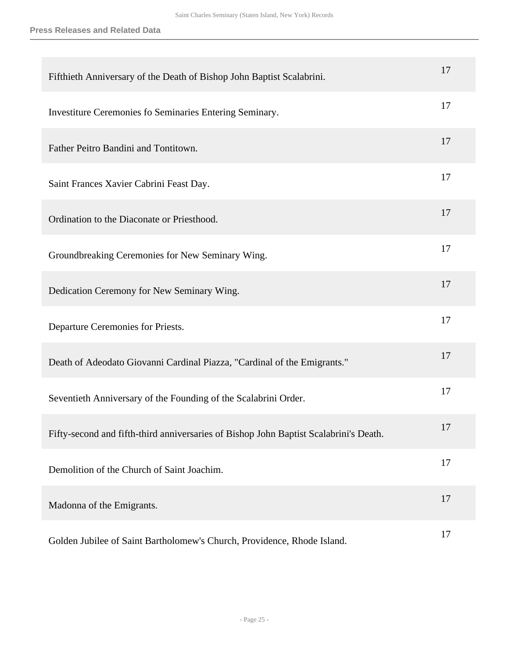| Fifthieth Anniversary of the Death of Bishop John Baptist Scalabrini.                 | 17 |
|---------------------------------------------------------------------------------------|----|
| Investiture Ceremonies fo Seminaries Entering Seminary.                               | 17 |
| Father Peitro Bandini and Tontitown.                                                  | 17 |
| Saint Frances Xavier Cabrini Feast Day.                                               | 17 |
| Ordination to the Diaconate or Priesthood.                                            | 17 |
| Groundbreaking Ceremonies for New Seminary Wing.                                      | 17 |
| Dedication Ceremony for New Seminary Wing.                                            | 17 |
| Departure Ceremonies for Priests.                                                     | 17 |
| Death of Adeodato Giovanni Cardinal Piazza, "Cardinal of the Emigrants."              | 17 |
| Seventieth Anniversary of the Founding of the Scalabrini Order.                       | 17 |
| Fifty-second and fifth-third anniversaries of Bishop John Baptist Scalabrini's Death. | 17 |
| Demolition of the Church of Saint Joachim.                                            | 17 |
| Madonna of the Emigrants.                                                             | 17 |
| Golden Jubilee of Saint Bartholomew's Church, Providence, Rhode Island.               | 17 |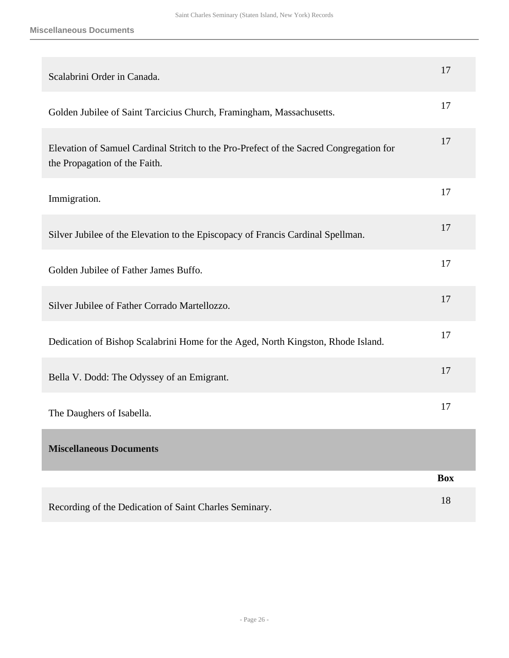<span id="page-25-0"></span>

| Scalabrini Order in Canada.                                                                                             | 17         |
|-------------------------------------------------------------------------------------------------------------------------|------------|
| Golden Jubilee of Saint Tarcicius Church, Framingham, Massachusetts.                                                    | 17         |
| Elevation of Samuel Cardinal Stritch to the Pro-Prefect of the Sacred Congregation for<br>the Propagation of the Faith. | 17         |
| Immigration.                                                                                                            | 17         |
| Silver Jubilee of the Elevation to the Episcopacy of Francis Cardinal Spellman.                                         | 17         |
| Golden Jubilee of Father James Buffo.                                                                                   | 17         |
| Silver Jubilee of Father Corrado Martellozzo.                                                                           | 17         |
| Dedication of Bishop Scalabrini Home for the Aged, North Kingston, Rhode Island.                                        | 17         |
| Bella V. Dodd: The Odyssey of an Emigrant.                                                                              | 17         |
| The Daughers of Isabella.                                                                                               | 17         |
| <b>Miscellaneous Documents</b>                                                                                          |            |
|                                                                                                                         | <b>Box</b> |
| Recording of the Dedication of Saint Charles Seminary.                                                                  | 18         |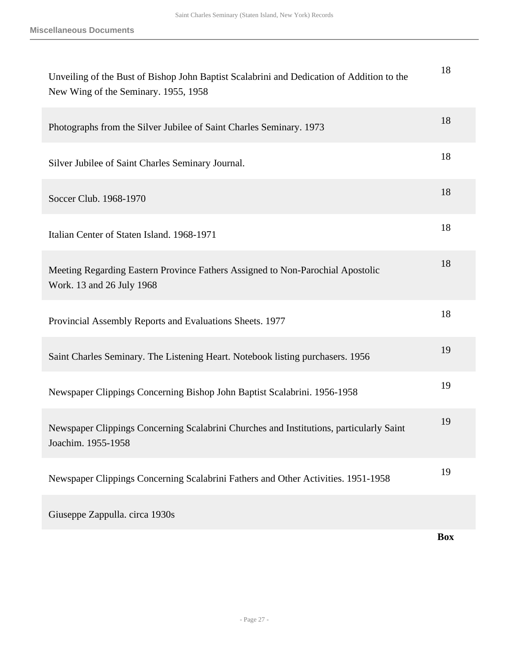| Unveiling of the Bust of Bishop John Baptist Scalabrini and Dedication of Addition to the<br>New Wing of the Seminary. 1955, 1958 | 18         |
|-----------------------------------------------------------------------------------------------------------------------------------|------------|
| Photographs from the Silver Jubilee of Saint Charles Seminary. 1973                                                               | 18         |
| Silver Jubilee of Saint Charles Seminary Journal.                                                                                 | 18         |
| Soccer Club. 1968-1970                                                                                                            | 18         |
| Italian Center of Staten Island. 1968-1971                                                                                        | 18         |
| Meeting Regarding Eastern Province Fathers Assigned to Non-Parochial Apostolic<br>Work. 13 and 26 July 1968                       | 18         |
| Provincial Assembly Reports and Evaluations Sheets. 1977                                                                          | 18         |
| Saint Charles Seminary. The Listening Heart. Notebook listing purchasers. 1956                                                    | 19         |
| Newspaper Clippings Concerning Bishop John Baptist Scalabrini. 1956-1958                                                          | 19         |
| Newspaper Clippings Concerning Scalabrini Churches and Institutions, particularly Saint<br>Joachim. 1955-1958                     | 19         |
| Newspaper Clippings Concerning Scalabrini Fathers and Other Activities. 1951-1958                                                 | 19         |
| Giuseppe Zappulla. circa 1930s                                                                                                    |            |
|                                                                                                                                   | <b>Box</b> |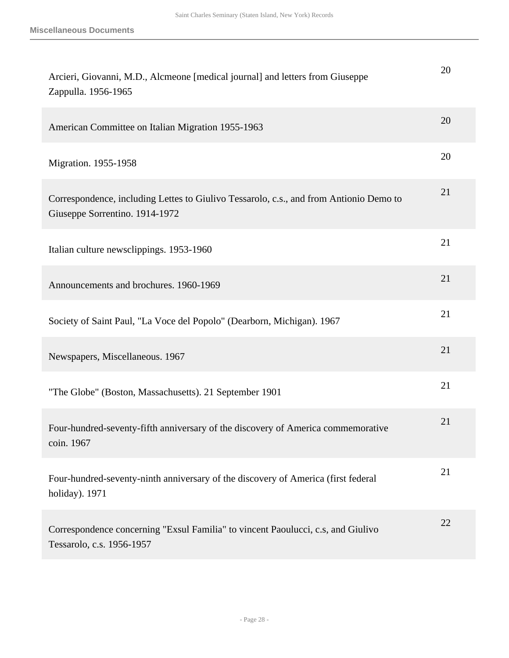| Arcieri, Giovanni, M.D., Alcmeone [medical journal] and letters from Giuseppe<br>Zappulla. 1956-1965                     | 20 |
|--------------------------------------------------------------------------------------------------------------------------|----|
| American Committee on Italian Migration 1955-1963                                                                        | 20 |
| Migration. 1955-1958                                                                                                     | 20 |
| Correspondence, including Lettes to Giulivo Tessarolo, c.s., and from Antionio Demo to<br>Giuseppe Sorrentino. 1914-1972 | 21 |
| Italian culture newsclippings. 1953-1960                                                                                 | 21 |
| Announcements and brochures. 1960-1969                                                                                   | 21 |
| Society of Saint Paul, "La Voce del Popolo" (Dearborn, Michigan). 1967                                                   | 21 |
| Newspapers, Miscellaneous. 1967                                                                                          | 21 |
| "The Globe" (Boston, Massachusetts). 21 September 1901                                                                   | 21 |
| Four-hundred-seventy-fifth anniversary of the discovery of America commemorative<br>coin. 1967                           | 21 |
| Four-hundred-seventy-ninth anniversary of the discovery of America (first federal<br>holiday). 1971                      | 21 |
| Correspondence concerning "Exsul Familia" to vincent Paoulucci, c.s., and Giulivo<br>Tessarolo, c.s. 1956-1957           | 22 |